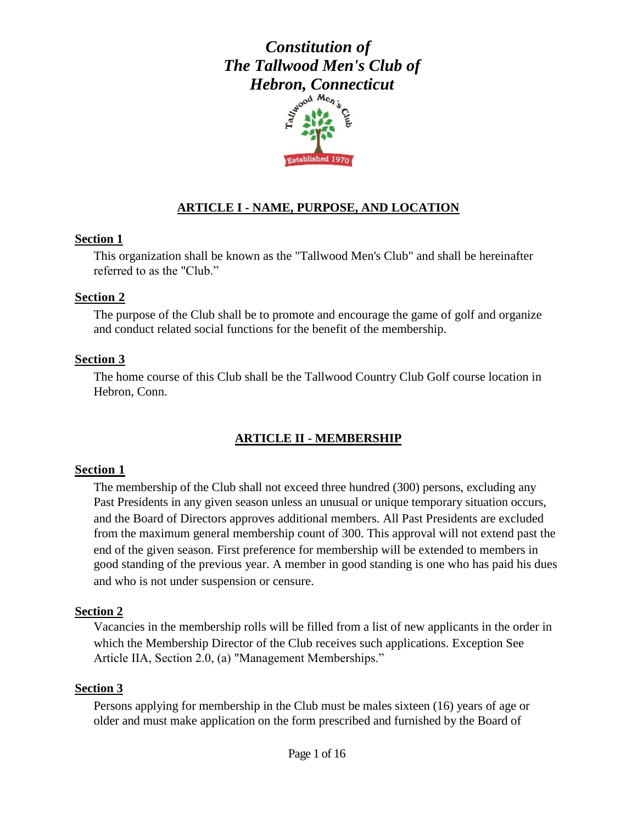

## **ARTICLE I - NAME, PURPOSE, AND LOCATION**

#### **Section 1**

This organization shall be known as the "Tallwood Men's Club" and shall be hereinafter referred to as the "Club."

#### **Section 2**

The purpose of the Club shall be to promote and encourage the game of golf and organize and conduct related social functions for the benefit of the membership.

### **Section 3**

The home course of this Club shall be the Tallwood Country Club Golf course location in Hebron, Conn.

## **ARTICLE II - MEMBERSHIP**

### **Section 1**

The membership of the Club shall not exceed three hundred (300) persons, excluding any Past Presidents in any given season unless an unusual or unique temporary situation occurs, and the Board of Directors approves additional members. All Past Presidents are excluded from the maximum general membership count of 300. This approval will not extend past the end of the given season. First preference for membership will be extended to members in good standing of the previous year. A member in good standing is one who has paid his dues and who is not under suspension or censure.

### **Section 2**

Vacancies in the membership rolls will be filled from a list of new applicants in the order in which the Membership Director of the Club receives such applications. Exception See Article IIA, Section 2.0, (a) "Management Memberships."

#### **Section 3**

Persons applying for membership in the Club must be males sixteen (16) years of age or older and must make application on the form prescribed and furnished by the Board of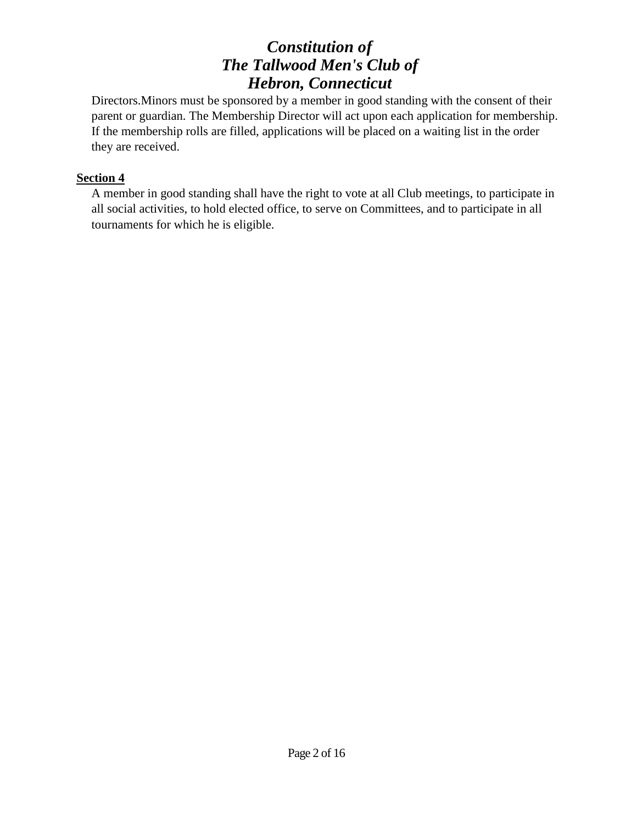Directors.Minors must be sponsored by a member in good standing with the consent of their parent or guardian. The Membership Director will act upon each application for membership. If the membership rolls are filled, applications will be placed on a waiting list in the order they are received.

### **Section 4**

A member in good standing shall have the right to vote at all Club meetings, to participate in all social activities, to hold elected office, to serve on Committees, and to participate in all tournaments for which he is eligible.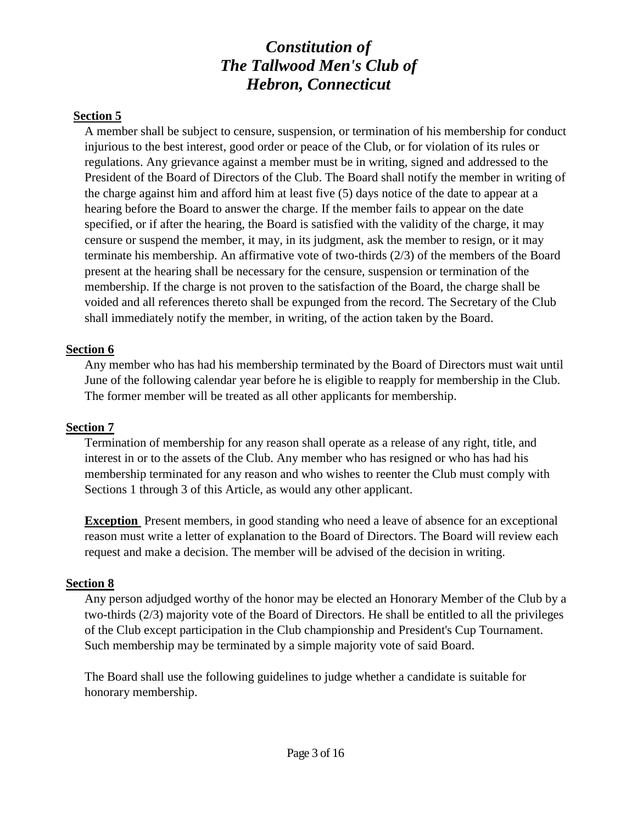#### **Section 5**

A member shall be subject to censure, suspension, or termination of his membership for conduct injurious to the best interest, good order or peace of the Club, or for violation of its rules or regulations. Any grievance against a member must be in writing, signed and addressed to the President of the Board of Directors of the Club. The Board shall notify the member in writing of the charge against him and afford him at least five (5) days notice of the date to appear at a hearing before the Board to answer the charge. If the member fails to appear on the date specified, or if after the hearing, the Board is satisfied with the validity of the charge, it may censure or suspend the member, it may, in its judgment, ask the member to resign, or it may terminate his membership. An affirmative vote of two-thirds (2/3) of the members of the Board present at the hearing shall be necessary for the censure, suspension or termination of the membership. If the charge is not proven to the satisfaction of the Board, the charge shall be voided and all references thereto shall be expunged from the record. The Secretary of the Club shall immediately notify the member, in writing, of the action taken by the Board.

### **Section 6**

Any member who has had his membership terminated by the Board of Directors must wait until June of the following calendar year before he is eligible to reapply for membership in the Club. The former member will be treated as all other applicants for membership.

### **Section 7**

Termination of membership for any reason shall operate as a release of any right, title, and interest in or to the assets of the Club. Any member who has resigned or who has had his membership terminated for any reason and who wishes to reenter the Club must comply with Sections 1 through 3 of this Article, as would any other applicant.

**Exception** Present members, in good standing who need a leave of absence for an exceptional reason must write a letter of explanation to the Board of Directors. The Board will review each request and make a decision. The member will be advised of the decision in writing.

#### **Section 8**

Any person adjudged worthy of the honor may be elected an Honorary Member of the Club by a two-thirds (2/3) majority vote of the Board of Directors. He shall be entitled to all the privileges of the Club except participation in the Club championship and President's Cup Tournament. Such membership may be terminated by a simple majority vote of said Board.

The Board shall use the following guidelines to judge whether a candidate is suitable for honorary membership.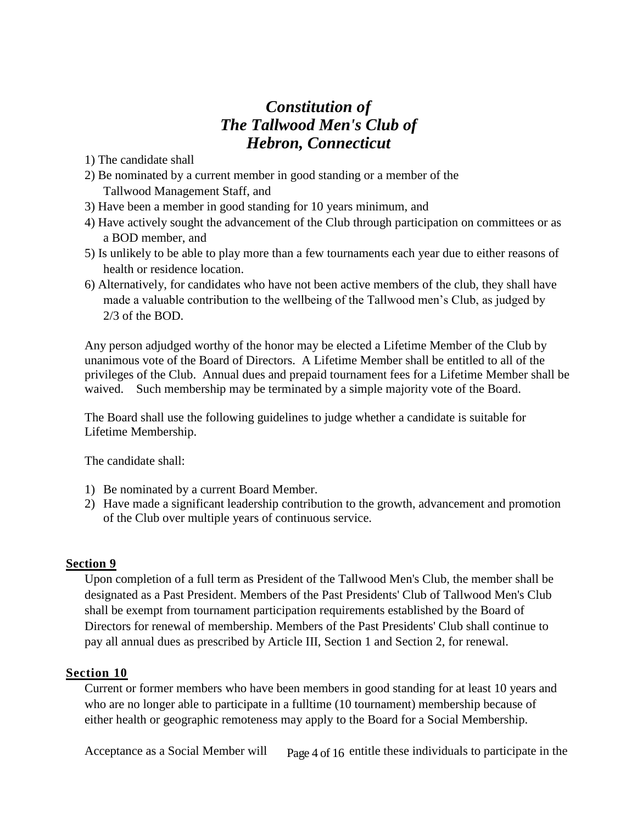- 1) The candidate shall
- 2) Be nominated by a current member in good standing or a member of the Tallwood Management Staff, and
- 3) Have been a member in good standing for 10 years minimum, and
- 4) Have actively sought the advancement of the Club through participation on committees or as a BOD member, and
- 5) Is unlikely to be able to play more than a few tournaments each year due to either reasons of health or residence location.
- 6) Alternatively, for candidates who have not been active members of the club, they shall have made a valuable contribution to the wellbeing of the Tallwood men's Club, as judged by 2/3 of the BOD.

Any person adjudged worthy of the honor may be elected a Lifetime Member of the Club by unanimous vote of the Board of Directors. A Lifetime Member shall be entitled to all of the privileges of the Club. Annual dues and prepaid tournament fees for a Lifetime Member shall be waived. Such membership may be terminated by a simple majority vote of the Board.

The Board shall use the following guidelines to judge whether a candidate is suitable for Lifetime Membership.

The candidate shall:

- 1) Be nominated by a current Board Member.
- 2) Have made a significant leadership contribution to the growth, advancement and promotion of the Club over multiple years of continuous service.

#### **Section 9**

Upon completion of a full term as President of the Tallwood Men's Club, the member shall be designated as a Past President. Members of the Past Presidents' Club of Tallwood Men's Club shall be exempt from tournament participation requirements established by the Board of Directors for renewal of membership. Members of the Past Presidents' Club shall continue to pay all annual dues as prescribed by Article III, Section 1 and Section 2, for renewal.

### **Section 10**

Current or former members who have been members in good standing for at least 10 years and who are no longer able to participate in a fulltime (10 tournament) membership because of either health or geographic remoteness may apply to the Board for a Social Membership.

Acceptance as a Social Member will  $P_{\text{age}} 4$  of 16 entitle these individuals to participate in the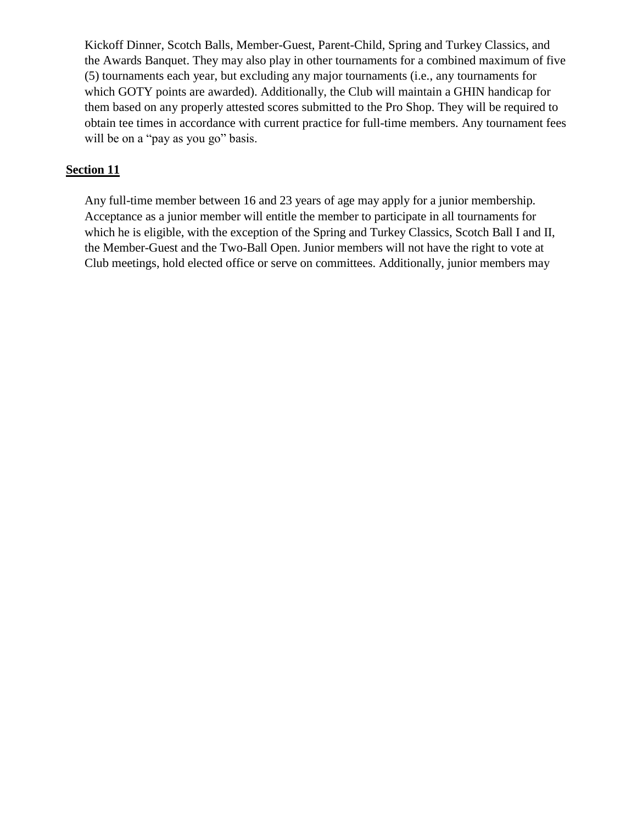Kickoff Dinner, Scotch Balls, Member-Guest, Parent-Child, Spring and Turkey Classics, and the Awards Banquet. They may also play in other tournaments for a combined maximum of five (5) tournaments each year, but excluding any major tournaments (i.e., any tournaments for which GOTY points are awarded). Additionally, the Club will maintain a GHIN handicap for them based on any properly attested scores submitted to the Pro Shop. They will be required to obtain tee times in accordance with current practice for full-time members. Any tournament fees will be on a "pay as you go" basis.

#### **Section 11**

Any full-time member between 16 and 23 years of age may apply for a junior membership. Acceptance as a junior member will entitle the member to participate in all tournaments for which he is eligible, with the exception of the Spring and Turkey Classics, Scotch Ball I and II, the Member-Guest and the Two-Ball Open. Junior members will not have the right to vote at Club meetings, hold elected office or serve on committees. Additionally, junior members may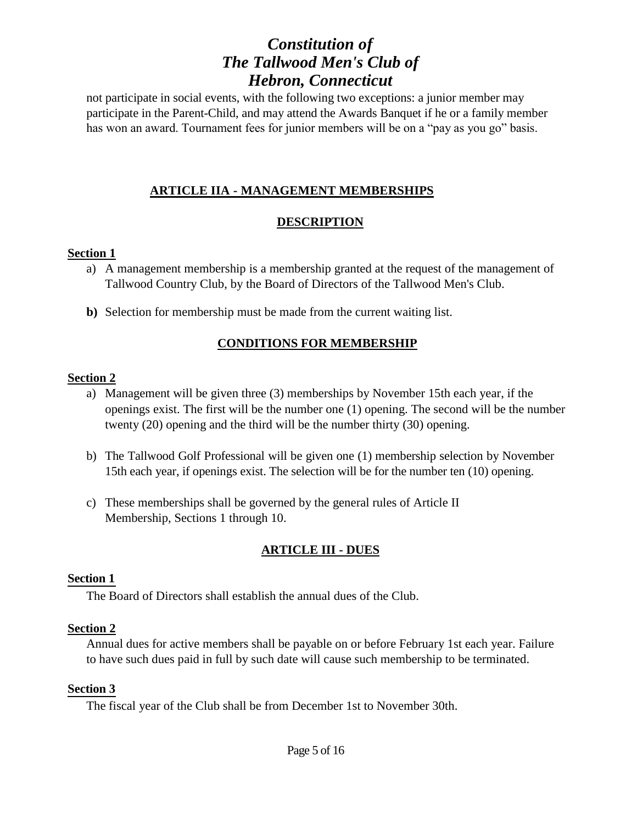not participate in social events, with the following two exceptions: a junior member may participate in the Parent-Child, and may attend the Awards Banquet if he or a family member has won an award. Tournament fees for junior members will be on a "pay as you go" basis.

### **ARTICLE IIA - MANAGEMENT MEMBERSHIPS**

### **DESCRIPTION**

### **Section 1**

- a) A management membership is a membership granted at the request of the management of Tallwood Country Club, by the Board of Directors of the Tallwood Men's Club.
- **b)** Selection for membership must be made from the current waiting list.

## **CONDITIONS FOR MEMBERSHIP**

#### **Section 2**

- a) Management will be given three (3) memberships by November 15th each year, if the openings exist. The first will be the number one (1) opening. The second will be the number twenty (20) opening and the third will be the number thirty (30) opening.
- b) The Tallwood Golf Professional will be given one (1) membership selection by November 15th each year, if openings exist. The selection will be for the number ten (10) opening.
- c) These memberships shall be governed by the general rules of Article II Membership, Sections 1 through 10.

## **ARTICLE III - DUES**

### **Section 1**

The Board of Directors shall establish the annual dues of the Club.

### **Section 2**

Annual dues for active members shall be payable on or before February 1st each year. Failure to have such dues paid in full by such date will cause such membership to be terminated.

#### **Section 3**

The fiscal year of the Club shall be from December 1st to November 30th.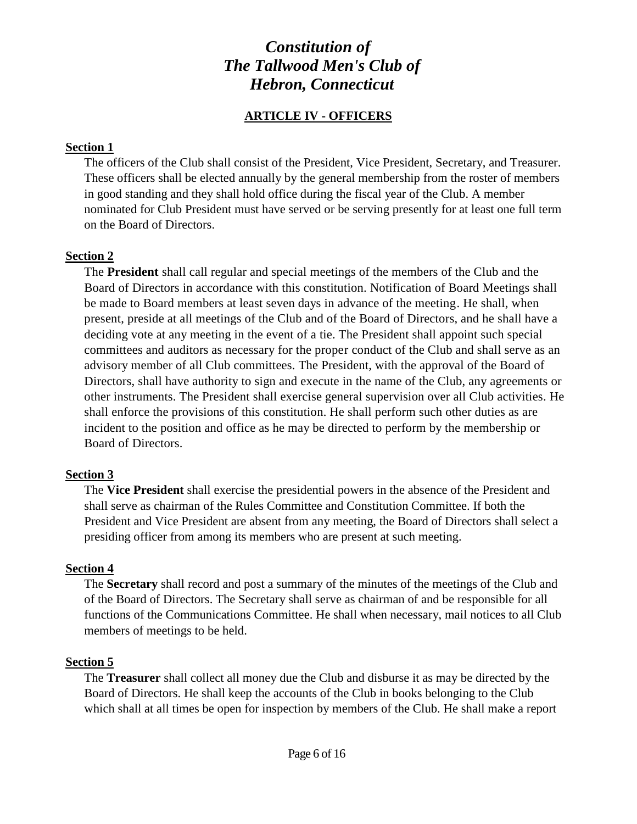## **ARTICLE IV - OFFICERS**

#### **Section 1**

The officers of the Club shall consist of the President, Vice President, Secretary, and Treasurer. These officers shall be elected annually by the general membership from the roster of members in good standing and they shall hold office during the fiscal year of the Club. A member nominated for Club President must have served or be serving presently for at least one full term on the Board of Directors.

#### **Section 2**

The **President** shall call regular and special meetings of the members of the Club and the Board of Directors in accordance with this constitution. Notification of Board Meetings shall be made to Board members at least seven days in advance of the meeting. He shall, when present, preside at all meetings of the Club and of the Board of Directors, and he shall have a deciding vote at any meeting in the event of a tie. The President shall appoint such special committees and auditors as necessary for the proper conduct of the Club and shall serve as an advisory member of all Club committees. The President, with the approval of the Board of Directors, shall have authority to sign and execute in the name of the Club, any agreements or other instruments. The President shall exercise general supervision over all Club activities. He shall enforce the provisions of this constitution. He shall perform such other duties as are incident to the position and office as he may be directed to perform by the membership or Board of Directors.

#### **Section 3**

The **Vice President** shall exercise the presidential powers in the absence of the President and shall serve as chairman of the Rules Committee and Constitution Committee. If both the President and Vice President are absent from any meeting, the Board of Directors shall select a presiding officer from among its members who are present at such meeting.

#### **Section 4**

The **Secretary** shall record and post a summary of the minutes of the meetings of the Club and of the Board of Directors. The Secretary shall serve as chairman of and be responsible for all functions of the Communications Committee. He shall when necessary, mail notices to all Club members of meetings to be held.

#### **Section 5**

The **Treasurer** shall collect all money due the Club and disburse it as may be directed by the Board of Directors. He shall keep the accounts of the Club in books belonging to the Club which shall at all times be open for inspection by members of the Club. He shall make a report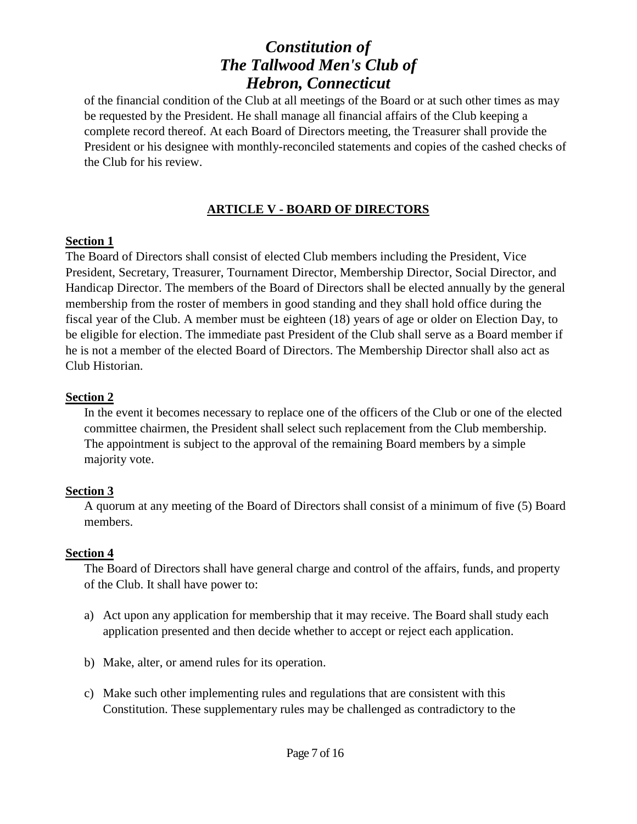of the financial condition of the Club at all meetings of the Board or at such other times as may be requested by the President. He shall manage all financial affairs of the Club keeping a complete record thereof. At each Board of Directors meeting, the Treasurer shall provide the President or his designee with monthly-reconciled statements and copies of the cashed checks of the Club for his review.

## **ARTICLE V - BOARD OF DIRECTORS**

### **Section 1**

The Board of Directors shall consist of elected Club members including the President, Vice President, Secretary, Treasurer, Tournament Director, Membership Director, Social Director, and Handicap Director. The members of the Board of Directors shall be elected annually by the general membership from the roster of members in good standing and they shall hold office during the fiscal year of the Club. A member must be eighteen (18) years of age or older on Election Day, to be eligible for election. The immediate past President of the Club shall serve as a Board member if he is not a member of the elected Board of Directors. The Membership Director shall also act as Club Historian.

## **Section 2**

In the event it becomes necessary to replace one of the officers of the Club or one of the elected committee chairmen, the President shall select such replacement from the Club membership. The appointment is subject to the approval of the remaining Board members by a simple majority vote.

## **Section 3**

A quorum at any meeting of the Board of Directors shall consist of a minimum of five (5) Board members.

## **Section 4**

The Board of Directors shall have general charge and control of the affairs, funds, and property of the Club. It shall have power to:

- a) Act upon any application for membership that it may receive. The Board shall study each application presented and then decide whether to accept or reject each application.
- b) Make, alter, or amend rules for its operation.
- c) Make such other implementing rules and regulations that are consistent with this Constitution. These supplementary rules may be challenged as contradictory to the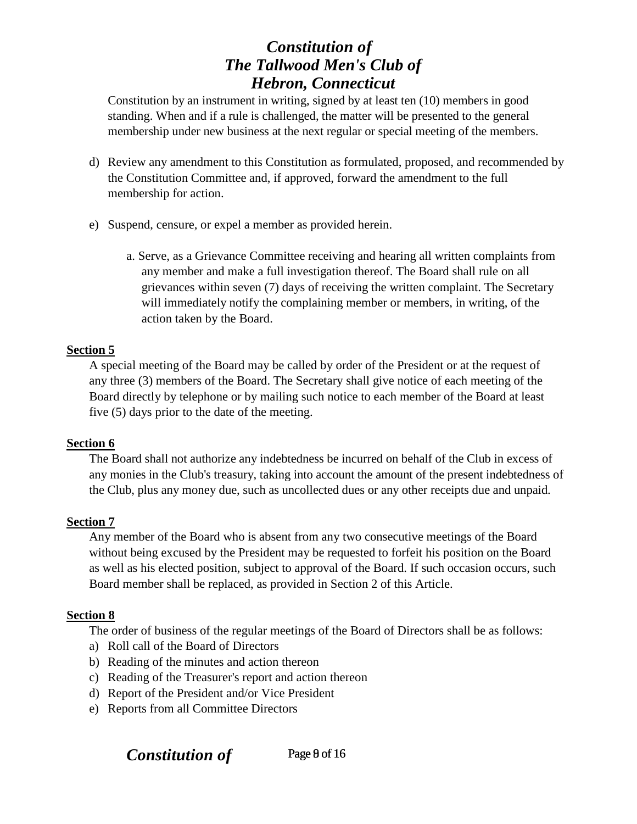Constitution by an instrument in writing, signed by at least ten (10) members in good standing. When and if a rule is challenged, the matter will be presented to the general membership under new business at the next regular or special meeting of the members.

- d) Review any amendment to this Constitution as formulated, proposed, and recommended by the Constitution Committee and, if approved, forward the amendment to the full membership for action.
- e) Suspend, censure, or expel a member as provided herein.
	- a. Serve, as a Grievance Committee receiving and hearing all written complaints from any member and make a full investigation thereof. The Board shall rule on all grievances within seven (7) days of receiving the written complaint. The Secretary will immediately notify the complaining member or members, in writing, of the action taken by the Board.

### **Section 5**

A special meeting of the Board may be called by order of the President or at the request of any three (3) members of the Board. The Secretary shall give notice of each meeting of the Board directly by telephone or by mailing such notice to each member of the Board at least five (5) days prior to the date of the meeting.

#### **Section 6**

The Board shall not authorize any indebtedness be incurred on behalf of the Club in excess of any monies in the Club's treasury, taking into account the amount of the present indebtedness of the Club, plus any money due, such as uncollected dues or any other receipts due and unpaid.

#### **Section 7**

Any member of the Board who is absent from any two consecutive meetings of the Board without being excused by the President may be requested to forfeit his position on the Board as well as his elected position, subject to approval of the Board. If such occasion occurs, such Board member shall be replaced, as provided in Section 2 of this Article.

#### **Section 8**

The order of business of the regular meetings of the Board of Directors shall be as follows:

- a) Roll call of the Board of Directors
- b) Reading of the minutes and action thereon
- c) Reading of the Treasurer's report and action thereon
- d) Report of the President and/or Vice President
- e) Reports from all Committee Directors

**Constitution of** Page 9 of 16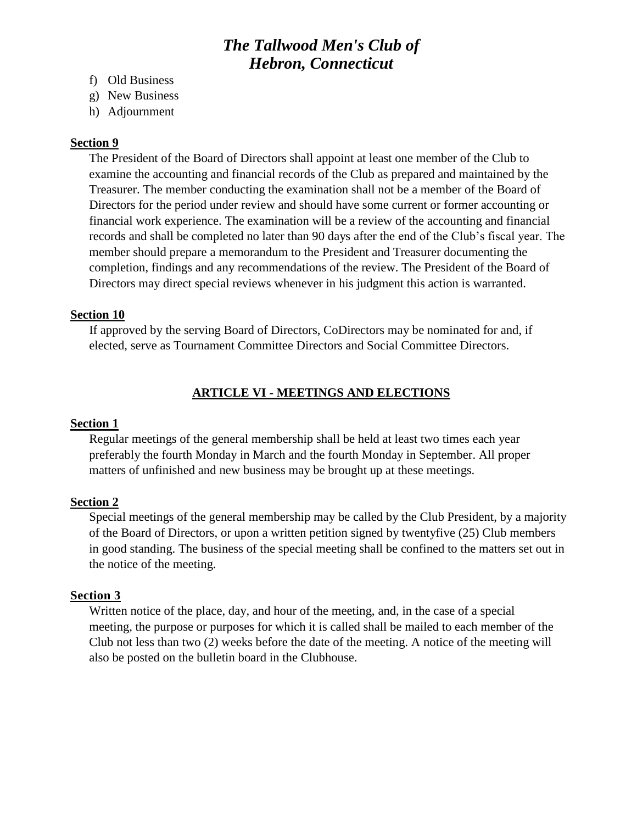## *The Tallwood Men's Club of Hebron, Connecticut*

- f) Old Business
- g) New Business
- h) Adjournment

#### **Section 9**

The President of the Board of Directors shall appoint at least one member of the Club to examine the accounting and financial records of the Club as prepared and maintained by the Treasurer. The member conducting the examination shall not be a member of the Board of Directors for the period under review and should have some current or former accounting or financial work experience. The examination will be a review of the accounting and financial records and shall be completed no later than 90 days after the end of the Club's fiscal year. The member should prepare a memorandum to the President and Treasurer documenting the completion, findings and any recommendations of the review. The President of the Board of Directors may direct special reviews whenever in his judgment this action is warranted.

#### **Section 10**

If approved by the serving Board of Directors, CoDirectors may be nominated for and, if elected, serve as Tournament Committee Directors and Social Committee Directors.

### **ARTICLE VI - MEETINGS AND ELECTIONS**

#### **Section 1**

Regular meetings of the general membership shall be held at least two times each year preferably the fourth Monday in March and the fourth Monday in September. All proper matters of unfinished and new business may be brought up at these meetings.

#### **Section 2**

Special meetings of the general membership may be called by the Club President, by a majority of the Board of Directors, or upon a written petition signed by twentyfive (25) Club members in good standing. The business of the special meeting shall be confined to the matters set out in the notice of the meeting.

#### **Section 3**

Written notice of the place, day, and hour of the meeting, and, in the case of a special meeting, the purpose or purposes for which it is called shall be mailed to each member of the Club not less than two (2) weeks before the date of the meeting. A notice of the meeting will also be posted on the bulletin board in the Clubhouse.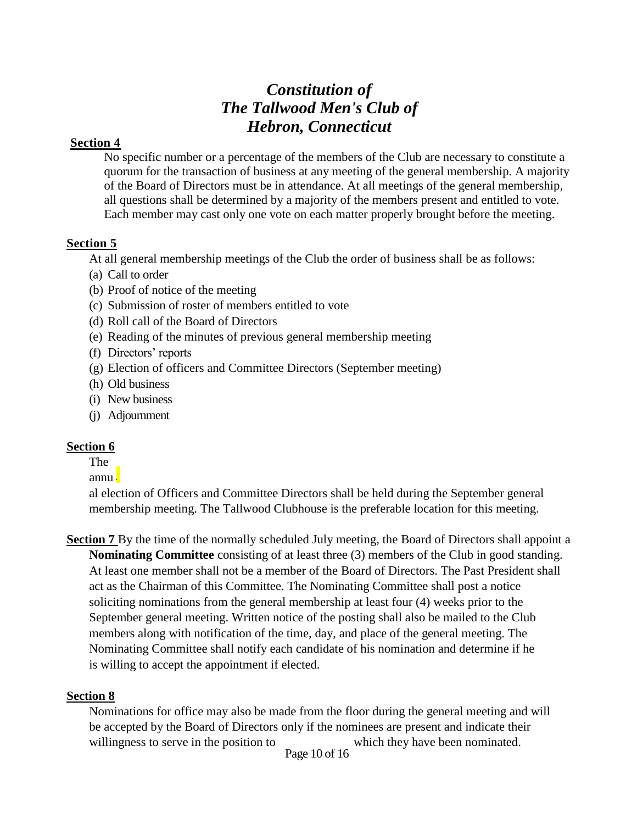### **Section 4**

No specific number or a percentage of the members of the Club are necessary to constitute a quorum for the transaction of business at any meeting of the general membership. A majority of the Board of Directors must be in attendance. At all meetings of the general membership, all questions shall be determined by a majority of the members present and entitled to vote. Each member may cast only one vote on each matter properly brought before the meeting.

## **Section 5**

At all general membership meetings of the Club the order of business shall be as follows:

- (a) Call to order
- (b) Proof of notice of the meeting
- (c) Submission of roster of members entitled to vote
- (d) Roll call of the Board of Directors
- (e) Reading of the minutes of previous general membership meeting
- (f) Directors' reports
- (g) Election of officers and Committee Directors (September meeting)
- (h) Old business
- (i) New business
- (j) Adjournment

## **Section 6**

### The

annu l

al election of Officers and Committee Directors shall be held during the September general membership meeting. The Tallwood Clubhouse is the preferable location for this meeting.

**Section 7** By the time of the normally scheduled July meeting, the Board of Directors shall appoint a **Nominating Committee** consisting of at least three (3) members of the Club in good standing. At least one member shall not be a member of the Board of Directors. The Past President shall act as the Chairman of this Committee. The Nominating Committee shall post a notice soliciting nominations from the general membership at least four (4) weeks prior to the September general meeting. Written notice of the posting shall also be mailed to the Club members along with notification of the time, day, and place of the general meeting. The Nominating Committee shall notify each candidate of his nomination and determine if he is willing to accept the appointment if elected.

## **Section 8**

Nominations for office may also be made from the floor during the general meeting and will be accepted by the Board of Directors only if the nominees are present and indicate their willingness to serve in the position to which they have been nominated.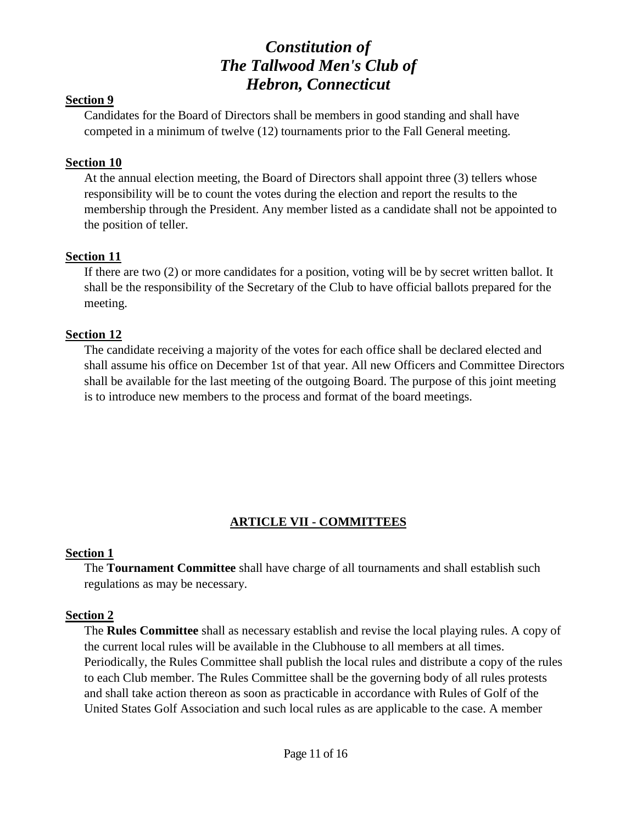### **Section 9**

Candidates for the Board of Directors shall be members in good standing and shall have competed in a minimum of twelve (12) tournaments prior to the Fall General meeting.

#### **Section 10**

At the annual election meeting, the Board of Directors shall appoint three (3) tellers whose responsibility will be to count the votes during the election and report the results to the membership through the President. Any member listed as a candidate shall not be appointed to the position of teller.

### **Section 11**

If there are two (2) or more candidates for a position, voting will be by secret written ballot. It shall be the responsibility of the Secretary of the Club to have official ballots prepared for the meeting.

#### **Section 12**

The candidate receiving a majority of the votes for each office shall be declared elected and shall assume his office on December 1st of that year. All new Officers and Committee Directors shall be available for the last meeting of the outgoing Board. The purpose of this joint meeting is to introduce new members to the process and format of the board meetings.

## **ARTICLE VII - COMMITTEES**

#### **Section 1**

The **Tournament Committee** shall have charge of all tournaments and shall establish such regulations as may be necessary.

### **Section 2**

The **Rules Committee** shall as necessary establish and revise the local playing rules. A copy of the current local rules will be available in the Clubhouse to all members at all times. Periodically, the Rules Committee shall publish the local rules and distribute a copy of the rules to each Club member. The Rules Committee shall be the governing body of all rules protests and shall take action thereon as soon as practicable in accordance with Rules of Golf of the United States Golf Association and such local rules as are applicable to the case. A member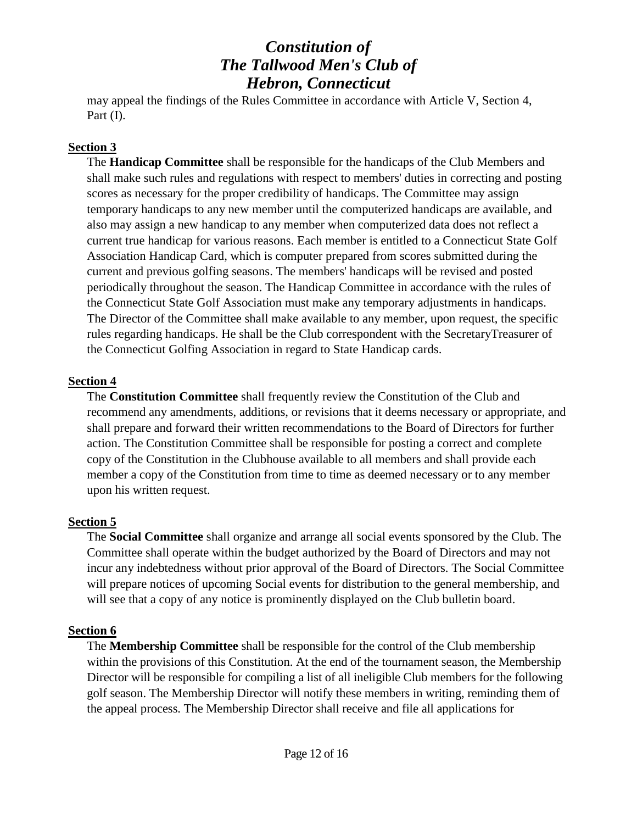may appeal the findings of the Rules Committee in accordance with Article V, Section 4, Part (I).

### **Section 3**

The **Handicap Committee** shall be responsible for the handicaps of the Club Members and shall make such rules and regulations with respect to members' duties in correcting and posting scores as necessary for the proper credibility of handicaps. The Committee may assign temporary handicaps to any new member until the computerized handicaps are available, and also may assign a new handicap to any member when computerized data does not reflect a current true handicap for various reasons. Each member is entitled to a Connecticut State Golf Association Handicap Card, which is computer prepared from scores submitted during the current and previous golfing seasons. The members' handicaps will be revised and posted periodically throughout the season. The Handicap Committee in accordance with the rules of the Connecticut State Golf Association must make any temporary adjustments in handicaps. The Director of the Committee shall make available to any member, upon request, the specific rules regarding handicaps. He shall be the Club correspondent with the SecretaryTreasurer of the Connecticut Golfing Association in regard to State Handicap cards.

### **Section 4**

The **Constitution Committee** shall frequently review the Constitution of the Club and recommend any amendments, additions, or revisions that it deems necessary or appropriate, and shall prepare and forward their written recommendations to the Board of Directors for further action. The Constitution Committee shall be responsible for posting a correct and complete copy of the Constitution in the Clubhouse available to all members and shall provide each member a copy of the Constitution from time to time as deemed necessary or to any member upon his written request.

## **Section 5**

The **Social Committee** shall organize and arrange all social events sponsored by the Club. The Committee shall operate within the budget authorized by the Board of Directors and may not incur any indebtedness without prior approval of the Board of Directors. The Social Committee will prepare notices of upcoming Social events for distribution to the general membership, and will see that a copy of any notice is prominently displayed on the Club bulletin board.

## **Section 6**

The **Membership Committee** shall be responsible for the control of the Club membership within the provisions of this Constitution. At the end of the tournament season, the Membership Director will be responsible for compiling a list of all ineligible Club members for the following golf season. The Membership Director will notify these members in writing, reminding them of the appeal process. The Membership Director shall receive and file all applications for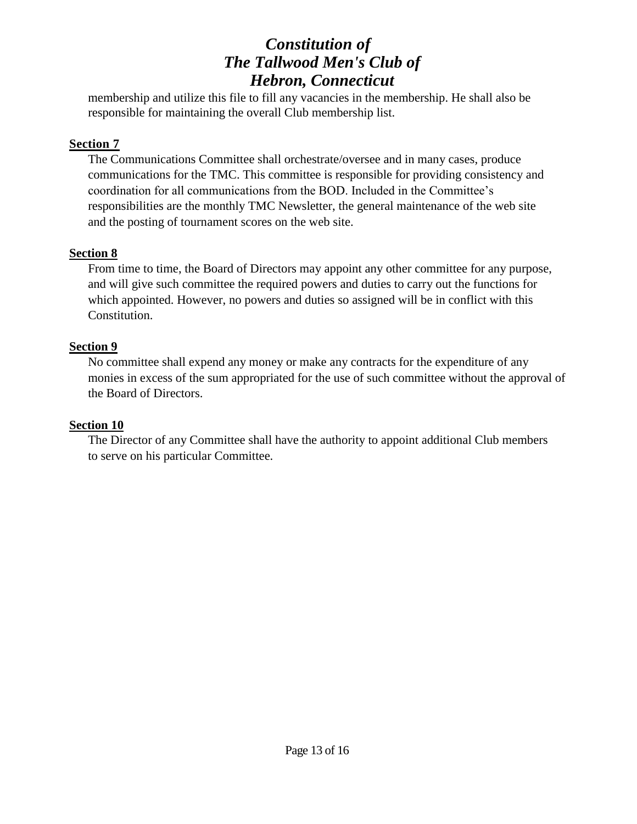membership and utilize this file to fill any vacancies in the membership. He shall also be responsible for maintaining the overall Club membership list.

## **Section 7**

The Communications Committee shall orchestrate/oversee and in many cases, produce communications for the TMC. This committee is responsible for providing consistency and coordination for all communications from the BOD. Included in the Committee's responsibilities are the monthly TMC Newsletter, the general maintenance of the web site and the posting of tournament scores on the web site.

## **Section 8**

From time to time, the Board of Directors may appoint any other committee for any purpose, and will give such committee the required powers and duties to carry out the functions for which appointed. However, no powers and duties so assigned will be in conflict with this Constitution.

## **Section 9**

No committee shall expend any money or make any contracts for the expenditure of any monies in excess of the sum appropriated for the use of such committee without the approval of the Board of Directors.

## **Section 10**

The Director of any Committee shall have the authority to appoint additional Club members to serve on his particular Committee.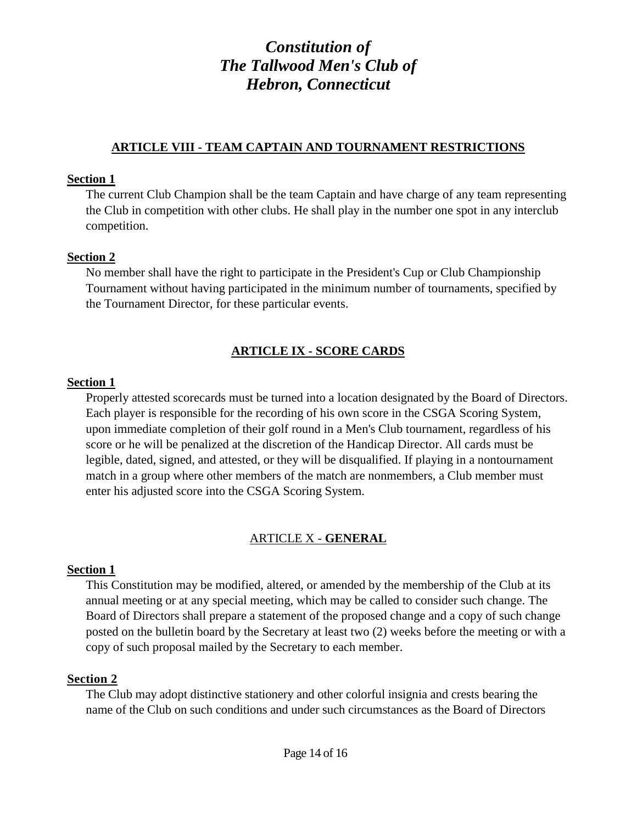### **ARTICLE VIII - TEAM CAPTAIN AND TOURNAMENT RESTRICTIONS**

#### **Section 1**

The current Club Champion shall be the team Captain and have charge of any team representing the Club in competition with other clubs. He shall play in the number one spot in any interclub competition.

### **Section 2**

No member shall have the right to participate in the President's Cup or Club Championship Tournament without having participated in the minimum number of tournaments, specified by the Tournament Director, for these particular events.

## **ARTICLE IX - SCORE CARDS**

### **Section 1**

Properly attested scorecards must be turned into a location designated by the Board of Directors. Each player is responsible for the recording of his own score in the CSGA Scoring System, upon immediate completion of their golf round in a Men's Club tournament, regardless of his score or he will be penalized at the discretion of the Handicap Director. All cards must be legible, dated, signed, and attested, or they will be disqualified. If playing in a nontournament match in a group where other members of the match are nonmembers, a Club member must enter his adjusted score into the CSGA Scoring System.

## ARTICLE X - **GENERAL**

### **Section 1**

This Constitution may be modified, altered, or amended by the membership of the Club at its annual meeting or at any special meeting, which may be called to consider such change. The Board of Directors shall prepare a statement of the proposed change and a copy of such change posted on the bulletin board by the Secretary at least two (2) weeks before the meeting or with a copy of such proposal mailed by the Secretary to each member.

### **Section 2**

The Club may adopt distinctive stationery and other colorful insignia and crests bearing the name of the Club on such conditions and under such circumstances as the Board of Directors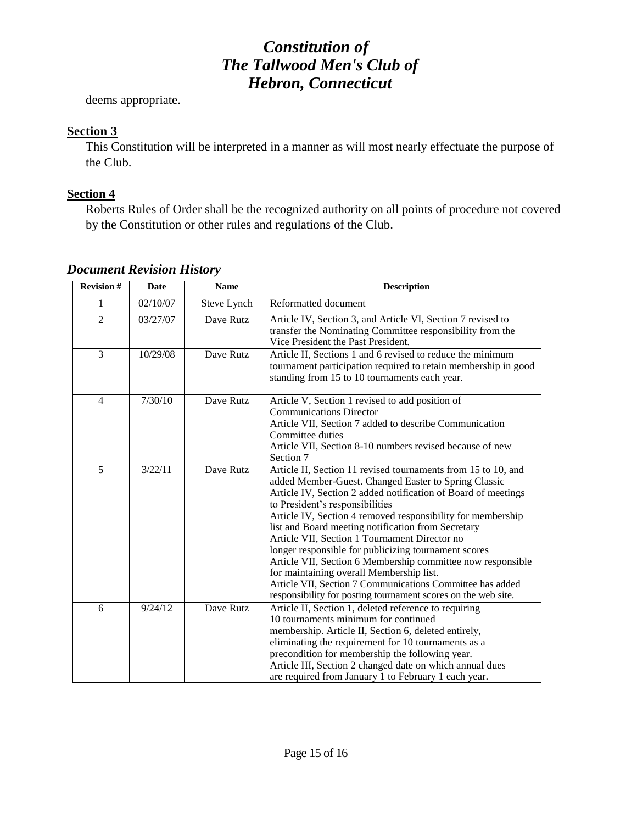deems appropriate.

## **Section 3**

This Constitution will be interpreted in a manner as will most nearly effectuate the purpose of the Club.

## **Section 4**

Roberts Rules of Order shall be the recognized authority on all points of procedure not covered by the Constitution or other rules and regulations of the Club.

| <b>Revision #</b> | <b>Date</b> | <b>Name</b> | <b>Description</b>                                                                                                                                                                                                                                                                                                                                                                                                                                                                                                                                                                                                                                                                               |
|-------------------|-------------|-------------|--------------------------------------------------------------------------------------------------------------------------------------------------------------------------------------------------------------------------------------------------------------------------------------------------------------------------------------------------------------------------------------------------------------------------------------------------------------------------------------------------------------------------------------------------------------------------------------------------------------------------------------------------------------------------------------------------|
| 1                 | 02/10/07    | Steve Lynch | Reformatted document                                                                                                                                                                                                                                                                                                                                                                                                                                                                                                                                                                                                                                                                             |
| $\overline{2}$    | 03/27/07    | Dave Rutz   | Article IV, Section 3, and Article VI, Section 7 revised to<br>transfer the Nominating Committee responsibility from the<br>Vice President the Past President.                                                                                                                                                                                                                                                                                                                                                                                                                                                                                                                                   |
| 3                 | 10/29/08    | Dave Rutz   | Article II, Sections 1 and 6 revised to reduce the minimum<br>tournament participation required to retain membership in good<br>standing from 15 to 10 tournaments each year.                                                                                                                                                                                                                                                                                                                                                                                                                                                                                                                    |
| $\overline{4}$    | 7/30/10     | Dave Rutz   | Article V, Section 1 revised to add position of<br><b>Communications Director</b><br>Article VII, Section 7 added to describe Communication<br>Committee duties<br>Article VII, Section 8-10 numbers revised because of new<br>Section 7                                                                                                                                                                                                                                                                                                                                                                                                                                                         |
| 5                 | 3/22/11     | Dave Rutz   | Article II, Section 11 revised tournaments from 15 to 10, and<br>added Member-Guest. Changed Easter to Spring Classic<br>Article IV, Section 2 added notification of Board of meetings<br>to President's responsibilities<br>Article IV, Section 4 removed responsibility for membership<br>list and Board meeting notification from Secretary<br>Article VII, Section 1 Tournament Director no<br>longer responsible for publicizing tournament scores<br>Article VII, Section 6 Membership committee now responsible<br>for maintaining overall Membership list.<br>Article VII, Section 7 Communications Committee has added<br>responsibility for posting tournament scores on the web site. |
| 6                 | 9/24/12     | Dave Rutz   | Article II, Section 1, deleted reference to requiring<br>10 tournaments minimum for continued<br>membership. Article II, Section 6, deleted entirely,<br>eliminating the requirement for 10 tournaments as a<br>precondition for membership the following year.<br>Article III, Section 2 changed date on which annual dues<br>are required from January 1 to February 1 each year.                                                                                                                                                                                                                                                                                                              |

## *Document Revision History*